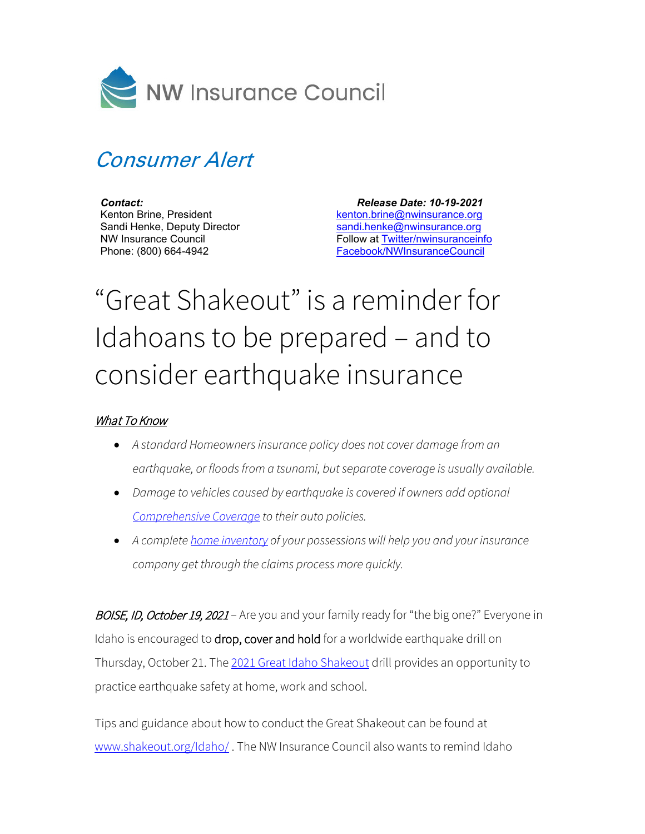

## Consumer Alert

*Contact:* Kenton Brine, President Sandi Henke, Deputy Director NW Insurance Council Phone: (800) 664-4942

 *Release Date: 10-19-2021* [kenton.brine@nwinsurance.org](mailto:kenton.brine@nwinsurance.org) [sandi.henke@nwinsurance.org](mailto:sandi.henke@nwinsurance.org) Follow at [Twitter/nwinsuranceinfo](http://twitter.com/#!/nwinsuranceinfo) [Facebook/NWInsuranceCouncil](https://www.facebook.com/NWInsuranceCouncil)

## "Great Shakeout" is a reminder for Idahoans to be prepared – and to consider earthquake insurance

## What To Know

- *A standard Homeowners insurance policy does not cover damage from an earthquake, or floods from a tsunami, but separate coverage is usually available.*
- *Damage to vehicles caused by earthquake is covered if owners add optional [Comprehensive Coverage](https://www.nwinsurance.org/auto-insurance-basics) to their auto policies.*
- *A complete [home inventory](https://www.nwinsurance.org/building-a-home-inventory) of your possessions will help you and your insurance company get through the claims process more quickly.*

BOISE, ID, October 19, 2021 – Are you and your family ready for "the big one?" Everyone in Idaho is encouraged to drop, cover and hold for a worldwide earthquake drill on Thursday, October 21. The 2021 [Great Idaho Shakeout](http://shakeout.org/idaho/) drill provides an opportunity to practice earthquake safety at home, work and school.

Tips and guidance about how to conduct the Great Shakeout can be found at [www.shakeout.org/Idaho/](http://www.shakeout.org/Idaho/) . The NW Insurance Council also wants to remind Idaho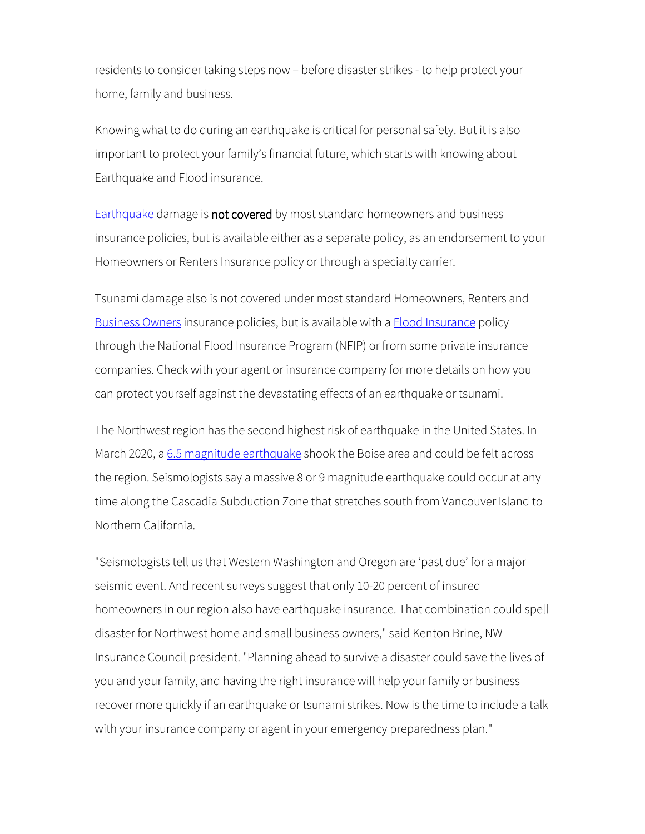residents to consider taking steps now – before disaster strikes - to help protect your home, family and business.

Knowing what to do during an earthquake is critical for personal safety. But it is also important to protect your family's financial future, which starts with knowing about Earthquake and Flood insurance.

[Earthquake](https://www.nwinsurance.org/earthquake) damage is not covered by most standard homeowners and business insurance policies, but is available either as a separate policy, as an endorsement to your Homeowners or Renters Insurance policy or through a specialty carrier.

Tsunami damage also is not covered under most standard Homeowners, Renters and [Business Owners](https://www.nwinsurance.org/business-insurance-basics) insurance policies, but is available with a **Flood Insurance policy** through the National Flood Insurance Program (NFIP) or from some private insurance companies. Check with your agent or insurance company for more details on how you can protect yourself against the devastating effects of an earthquake or tsunami.

The Northwest region has the second highest risk of earthquake in the United States. In March 2020, [a 6.5 magnitude earthquake](https://www.nwinsurance.org/asset/5e83f94de2cd1) shook the Boise area and could be felt across the region. Seismologists say a massive 8 or 9 magnitude earthquake could occur at any time along the Cascadia Subduction Zone that stretches south from Vancouver Island to Northern California.

"Seismologists tell us that Western Washington and Oregon are 'past due' for a major seismic event. And recent surveys suggest that only 10-20 percent of insured homeowners in our region also have earthquake insurance. That combination could spell disaster for Northwest home and small business owners," said Kenton Brine, NW Insurance Council president. "Planning ahead to survive a disaster could save the lives of you and your family, and having the right insurance will help your family or business recover more quickly if an earthquake or tsunami strikes. Now is the time to include a talk with your insurance company or agent in your emergency preparedness plan."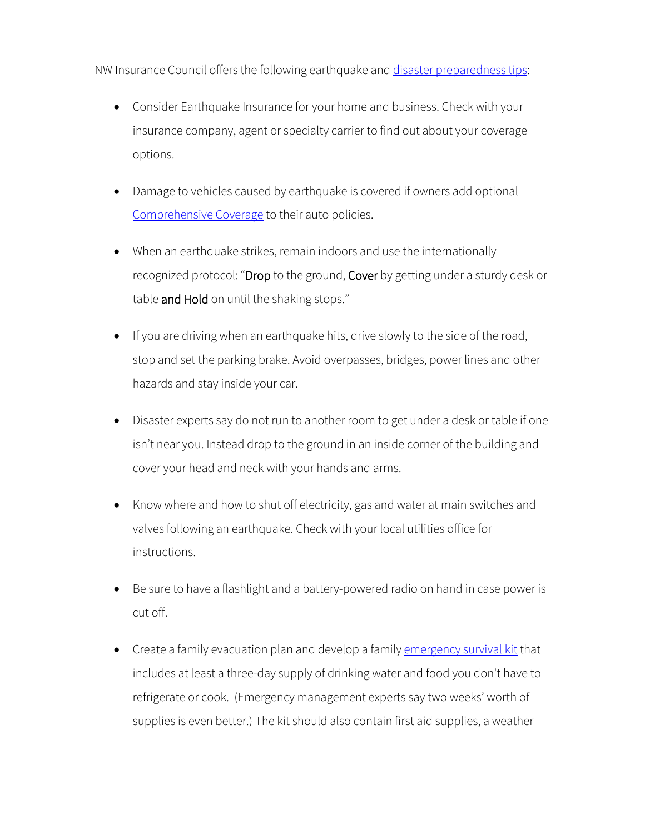NW Insurance Council offers the following earthquake and [disaster preparedness tips:](http://www.nwinsurance.org/cm_disa.htm)

- Consider Earthquake Insurance for your home and business. Check with your insurance company, agent or specialty carrier to find out about your coverage options.
- Damage to vehicles caused by earthquake is covered if owners add optional [Comprehensive Coverage](http://www.nwinsurance.org/in_autopolicy.htm) to their auto policies.
- When an earthquake strikes, remain indoors and use the internationally recognized protocol: "Drop to the ground, Cover by getting under a sturdy desk or table and Hold on until the shaking stops."
- If you are driving when an earthquake hits, drive slowly to the side of the road, stop and set the parking brake. Avoid overpasses, bridges, power lines and other hazards and stay inside your car.
- Disaster experts say do not run to another room to get under a desk or table if one isn't near you. Instead drop to the ground in an inside corner of the building and cover your head and neck with your hands and arms.
- Know where and how to shut off electricity, gas and water at main switches and valves following an earthquake. Check with your local utilities office for instructions.
- Be sure to have a flashlight and a battery-powered radio on hand in case power is cut off.
- Create a family evacuation plan and develop a family [emergency survival kit](http://www.nwinsurance.org/disaster/tips.php) that includes at least a three-day supply of drinking water and food you don't have to refrigerate or cook. (Emergency management experts say two weeks' worth of supplies is even better.) The kit should also contain first aid supplies, a weather